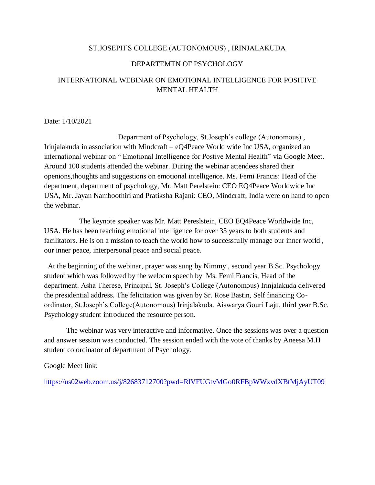#### ST.JOSEPH'S COLLEGE (AUTONOMOUS) , IRINJALAKUDA

### DEPARTEMTN OF PSYCHOLOGY

## INTERNATIONAL WEBINAR ON EMOTIONAL INTELLIGENCE FOR POSITIVE MENTAL HEALTH

Date: 1/10/2021

Department of Psychology, St.Joseph's college (Autonomous) , Irinjalakuda in association with Mindcraft – eQ4Peace World wide Inc USA, organized an international webinar on " Emotional Intelligence for Postive Mental Health" via Google Meet. Around 100 students attended the webinar. During the webinar attendees shared their openions,thoughts and suggestions on emotional intelligence. Ms. Femi Francis: Head of the department, department of psychology, Mr. Matt Perelstein: CEO EQ4Peace Worldwide Inc USA, Mr. Jayan Namboothiri and Pratiksha Rajani: CEO, Mindcraft, India were on hand to open the webinar.

 The keynote speaker was Mr. Matt Pereslstein, CEO EQ4Peace Worldwide Inc, USA. He has been teaching emotional intelligence for over 35 years to both students and facilitators. He is on a mission to teach the world how to successfully manage our inner world , our inner peace, interpersonal peace and social peace.

 At the beginning of the webinar, prayer was sung by Nimmy , second year B.Sc. Psychology student which was followed by the welocm speech by Ms. Femi Francis, Head of the department. Asha Therese, Principal, St. Joseph's College (Autonomous) Irinjalakuda delivered the presidential address. The felicitation was given by Sr. Rose Bastin, Self financing Coordinator, St.Joseph's College(Autonomous) Irinjalakuda. Aiswarya Gouri Laju, third year B.Sc. Psychology student introduced the resource person.

 The webinar was very interactive and informative. Once the sessions was over a question and answer session was conducted. The session ended with the vote of thanks by Aneesa M.H student co ordinator of department of Psychology.

Google Meet link:

<https://us02web.zoom.us/j/82683712700?pwd=RlVFUGtvMGo0RFBpWWxvdXBtMjAyUT09>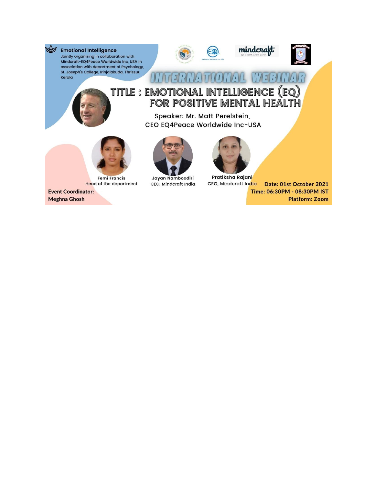

**Emotional Intelligence** Jointly organizing in collaboration with Mindcraft-EQ4Peace Worldwide Inc, USA In association with department of Psychology, St. Joseph's College, Irinjalakuda, Thrissur, Kerala







# **IAL WEBINAR**  $11177$ TITLE : EMOTIONAL INTELLIGENCE (EQ)<br>FOR POSITIVE MENTAL HEALTH

EG

Speaker: Mr. Matt Perelstein, CEO EQ4Peace Worldwide Inc-USA



**Femi Francis Head of the department** 

**Event Coordinator: Meghna Ghosh** 



Jayan Namboodiri CEO, Mindcraft India



Pratiksha Rajani CEO, Mindcraft India Date: 01st October 2021 Time: 06:30PM - 08:30PM IST **Platform: Zoom**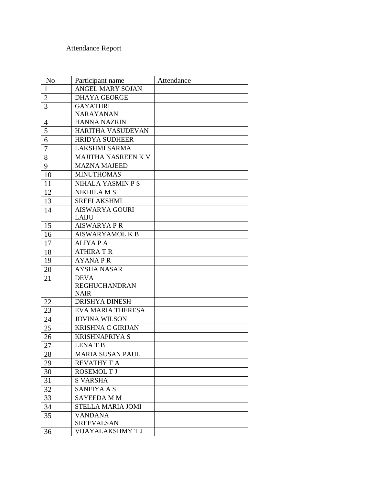# Attendance Report

| N <sub>o</sub> | Participant name           | Attendance |
|----------------|----------------------------|------------|
| $\mathbf{1}$   | ANGEL MARY SOJAN           |            |
| $\overline{2}$ | <b>DHAYA GEORGE</b>        |            |
| 3              | <b>GAYATHRI</b>            |            |
|                | <b>NARAYANAN</b>           |            |
| 4              | <b>HANNA NAZRIN</b>        |            |
| 5              | HARITHA VASUDEVAN          |            |
| 6              | <b>HRIDYA SUDHEER</b>      |            |
| $\overline{7}$ | <b>LAKSHMI SARMA</b>       |            |
| 8              | <b>MAJITHA NASREEN K V</b> |            |
| 9              | <b>MAZNA MAJEED</b>        |            |
| 10             | <b>MINUTHOMAS</b>          |            |
| 11             | NIHALA YASMIN P S          |            |
| 12             | NIKHILA M S                |            |
| 13             | <b>SREELAKSHMI</b>         |            |
| 14             | <b>AISWARYA GOURI</b>      |            |
|                | <b>LAIJU</b>               |            |
| 15             | <b>AISWARYAPR</b>          |            |
| 16             | <b>AISWARYAMOL K B</b>     |            |
| 17             | <b>ALIYA P A</b>           |            |
| 18             | <b>ATHIRAT R</b>           |            |
| 19             | <b>AYANAPR</b>             |            |
| 20             | <b>AYSHA NASAR</b>         |            |
| 21             | <b>DEVA</b>                |            |
|                | <b>REGHUCHANDRAN</b>       |            |
|                | <b>NAIR</b>                |            |
| 22             | <b>DRISHYA DINESH</b>      |            |
| 23             | <b>EVA MARIA THERESA</b>   |            |
| 24             | <b>JOVINA WILSON</b>       |            |
| 25             | <b>KRISHNA C GIRIJAN</b>   |            |
| 26             | <b>KRISHNAPRIYA S</b>      |            |
| 27             | <b>LENAT B</b>             |            |
| 28             | MARIA SUSAN PAUL           |            |
| 29             | <b>REVATHY T A</b>         |            |
| 30             | <b>ROSEMOLT J</b>          |            |
| 31             | <b>S VARSHA</b>            |            |
| 32             | <b>SANFIYA A S</b>         |            |
| 33             | <b>SAYEEDA MM</b>          |            |
| 34             | STELLA MARIA JOMI          |            |
| 35             | <b>VANDANA</b>             |            |
|                | <b>SREEVALSAN</b>          |            |
| 36             | VIJAYALAKSHMYT J           |            |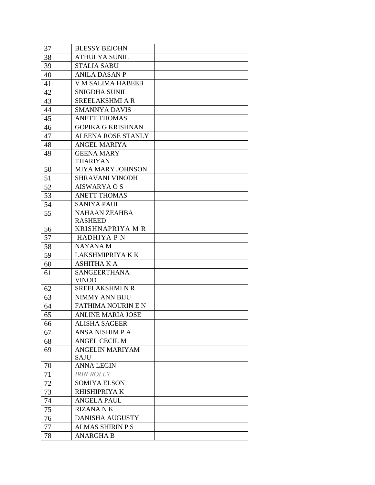| 37 | <b>BLESSY BEJOHN</b>                  |  |
|----|---------------------------------------|--|
| 38 | <b>ATHULYA SUNIL</b>                  |  |
| 39 | <b>STALIA SABU</b>                    |  |
| 40 | <b>ANILA DASAN P</b>                  |  |
| 41 | <b>V M SALIMA HABEEB</b>              |  |
| 42 | <b>SNIGDHA SUNIL</b>                  |  |
| 43 | SREELAKSHMI A R                       |  |
| 44 | <b>SMANNYA DAVIS</b>                  |  |
| 45 | <b>ANETT THOMAS</b>                   |  |
| 46 | <b>GOPIKA G KRISHNAN</b>              |  |
| 47 | <b>ALEENA ROSE STANLY</b>             |  |
| 48 | <b>ANGEL MARIYA</b>                   |  |
| 49 | <b>GEENA MARY</b>                     |  |
|    | <b>THARIYAN</b>                       |  |
| 50 | MIYA MARY JOHNSON                     |  |
| 51 | <b>SHRAVANI VINODH</b>                |  |
| 52 | <b>AISWARYA O S</b>                   |  |
| 53 | <b>ANETT THOMAS</b>                   |  |
| 54 | <b>SANIYA PAUL</b>                    |  |
| 55 | <b>NAHAAN ZEAHBA</b>                  |  |
|    | <b>RASHEED</b>                        |  |
| 56 | <b>KRISHNAPRIYA M R</b>               |  |
| 57 | <b>HADHIYA P N</b>                    |  |
| 58 | <b>NAYANAM</b>                        |  |
| 59 | <b>LAKSHMIPRIYA K K</b>               |  |
| 60 | <b>ASHITHA K A</b>                    |  |
| 61 | <b>SANGEERTHANA</b>                   |  |
|    | <b>VINOD</b>                          |  |
| 62 | SREELAKSHMINR                         |  |
| 63 | NIMMY ANN BIJU                        |  |
| 64 | <b>FATHIMA NOURIN E N</b>             |  |
| 65 | <b>ANLINE MARIA JOSE</b>              |  |
| 66 | <b>ALISHA SAGEER</b>                  |  |
| 67 | <b>ANSA NISHIM P A</b>                |  |
| 68 | ANGEL CECIL M                         |  |
| 69 | <b>ANGELIN MARIYAM</b><br><b>SAJU</b> |  |
| 70 | <b>ANNA LEGIN</b>                     |  |
| 71 | <b>IRIN ROLLY</b>                     |  |
| 72 | <b>SOMIYA ELSON</b>                   |  |
| 73 | RHISHIPRIYA K                         |  |
| 74 | <b>ANGELA PAUL</b>                    |  |
| 75 | <b>RIZANA NK</b>                      |  |
| 76 | <b>DANISHA AUGUSTY</b>                |  |
|    | <b>ALMAS SHIRIN P S</b>               |  |
| 77 | <b>ANARGHA B</b>                      |  |
| 78 |                                       |  |